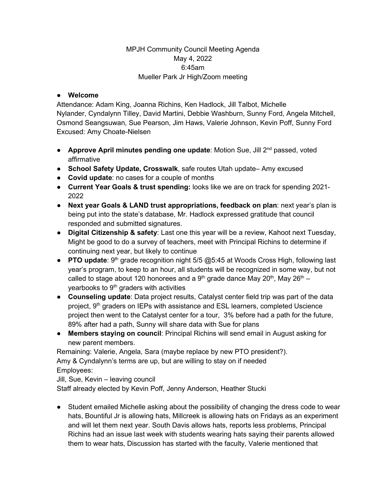## MPJH Community Council Meeting Agenda May 4, 2022 6:45am Mueller Park Jr High/Zoom meeting

## ● **Welcome**

Attendance: Adam King, Joanna Richins, Ken Hadlock, Jill Talbot, Michelle Nylander, Cyndalynn Tilley, David Martini, Debbie Washburn, Sunny Ford, Angela Mitchell, Osmond Seangsuwan, Sue Pearson, Jim Haws, Valerie Johnson, Kevin Poff, Sunny Ford Excused: Amy Choate-Nielsen

- **Approve April minutes pending one update**: Motion Sue, Jill 2nd passed, voted affirmative
- **School Safety Update, Crosswalk**, safe routes Utah update– Amy excused
- **Covid update**: no cases for a couple of months
- **Current Year Goals & trust spending:** looks like we are on track for spending 2021- 2022
- **Next year Goals & LAND trust appropriations, feedback on plan**: next year's plan is being put into the state's database, Mr. Hadlock expressed gratitude that council responded and submitted signatures.
- **Digital Citizenship & safety**: Last one this year will be a review, Kahoot next Tuesday, Might be good to do a survey of teachers, meet with Principal Richins to determine if continuing next year, but likely to continue
- **PTO update**: 9<sup>th</sup> grade recognition night 5/5 @5:45 at Woods Cross High, following last year's program, to keep to an hour, all students will be recognized in some way, but not called to stage about 120 honorees and a  $9<sup>th</sup>$  grade dance May 20<sup>th</sup>, May 26<sup>th</sup> – yearbooks to 9<sup>th</sup> graders with activities
- **Counseling update**: Data project results, Catalyst center field trip was part of the data project,  $9<sup>th</sup>$  graders on IEPs with assistance and ESL learners, completed Uscience project then went to the Catalyst center for a tour, 3% before had a path for the future, 89% after had a path, Sunny will share data with Sue for plans
- **Members staying on council**: Principal Richins will send email in August asking for new parent members.

Remaining: Valerie, Angela, Sara (maybe replace by new PTO president?). Amy & Cyndalynn's terms are up, but are willing to stay on if needed Employees: Jill, Sue, Kevin – leaving council

Staff already elected by Kevin Poff, Jenny Anderson, Heather Stucki

● Student emailed Michelle asking about the possibility of changing the dress code to wear hats, Bountiful Jr is allowing hats, Millcreek is allowing hats on Fridays as an experiment and will let them next year. South Davis allows hats, reports less problems, Principal Richins had an issue last week with students wearing hats saying their parents allowed them to wear hats, Discussion has started with the faculty, Valerie mentioned that